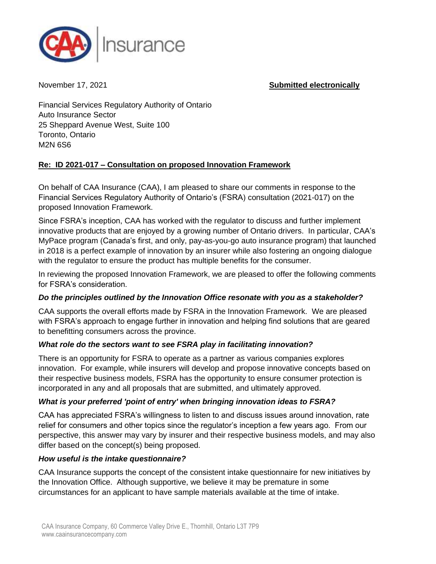

November 17, 2021 **Submitted electronically**

Financial Services Regulatory Authority of Ontario Auto Insurance Sector 25 Sheppard Avenue West, Suite 100 Toronto, Ontario M2N 6S6

### **Re: ID 2021-017 – Consultation on proposed Innovation Framework**

On behalf of CAA Insurance (CAA), I am pleased to share our comments in response to the Financial Services Regulatory Authority of Ontario's (FSRA) consultation (2021-017) on the proposed Innovation Framework.

Since FSRA's inception, CAA has worked with the regulator to discuss and further implement innovative products that are enjoyed by a growing number of Ontario drivers. In particular, CAA's MyPace program (Canada's first, and only, pay-as-you-go auto insurance program) that launched in 2018 is a perfect example of innovation by an insurer while also fostering an ongoing dialogue with the regulator to ensure the product has multiple benefits for the consumer.

In reviewing the proposed Innovation Framework, we are pleased to offer the following comments for FSRA's consideration.

### *Do the principles outlined by the Innovation Office resonate with you as a stakeholder?*

CAA supports the overall efforts made by FSRA in the Innovation Framework. We are pleased with FSRA's approach to engage further in innovation and helping find solutions that are geared to benefitting consumers across the province.

# *What role do the sectors want to see FSRA play in facilitating innovation?*

There is an opportunity for FSRA to operate as a partner as various companies explores innovation. For example, while insurers will develop and propose innovative concepts based on their respective business models, FSRA has the opportunity to ensure consumer protection is incorporated in any and all proposals that are submitted, and ultimately approved.

# *What is your preferred 'point of entry' when bringing innovation ideas to FSRA?*

CAA has appreciated FSRA's willingness to listen to and discuss issues around innovation, rate relief for consumers and other topics since the regulator's inception a few years ago. From our perspective, this answer may vary by insurer and their respective business models, and may also differ based on the concept(s) being proposed.

### *How useful is the intake questionnaire?*

CAA Insurance supports the concept of the consistent intake questionnaire for new initiatives by the Innovation Office. Although supportive, we believe it may be premature in some circumstances for an applicant to have sample materials available at the time of intake.